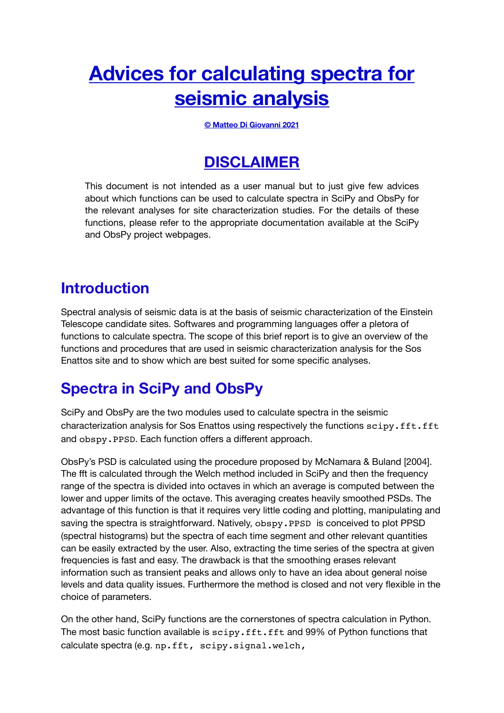# **Advices for calculating spectra for seismic analysis**

**© Matteo Di Giovanni 2021** 

### **DISCLAIMER**

This document is not intended as a user manual but to just give few advices about which functions can be used to calculate spectra in SciPy and ObsPy for the relevant analyses for site characterization studies. For the details of these functions, please refer to the appropriate documentation available at the SciPy and ObsPy project webpages.

### **Introduction**

Spectral analysis of seismic data is at the basis of seismic characterization of the Einstein Telescope candidate sites. Softwares and programming languages offer a pletora of functions to calculate spectra. The scope of this brief report is to give an overview of the functions and procedures that are used in seismic characterization analysis for the Sos Enattos site and to show which are best suited for some specific analyses.

## **Spectra in SciPy and ObsPy**

SciPy and ObsPy are the two modules used to calculate spectra in the seismic characterization analysis for Sos Enattos using respectively the functions scipy.fft.ft and obspy.PPSD. Each function offers a different approach.

ObsPy's PSD is calculated using the procedure proposed by McNamara & Buland [2004]. The fft is calculated through the Welch method included in SciPy and then the frequency range of the spectra is divided into octaves in which an average is computed between the lower and upper limits of the octave. This averaging creates heavily smoothed PSDs. The advantage of this function is that it requires very little coding and plotting, manipulating and saving the spectra is straightforward. Natively, obspy.PPSD is conceived to plot PPSD (spectral histograms) but the spectra of each time segment and other relevant quantities can be easily extracted by the user. Also, extracting the time series of the spectra at given frequencies is fast and easy. The drawback is that the smoothing erases relevant information such as transient peaks and allows only to have an idea about general noise levels and data quality issues. Furthermore the method is closed and not very flexible in the choice of parameters.

On the other hand, SciPy functions are the cornerstones of spectra calculation in Python. The most basic function available is scipy.fft.fft and 99% of Python functions that calculate spectra (e.g. np.fft, scipy.signal.welch,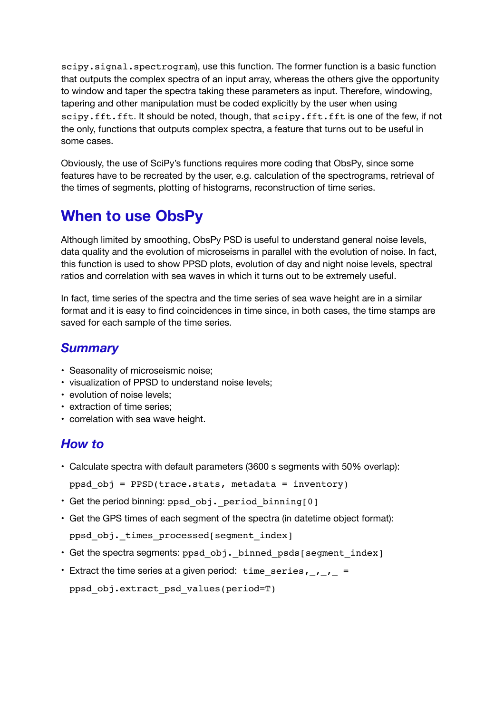scipy.signal.spectrogram), use this function. The former function is a basic function that outputs the complex spectra of an input array, whereas the others give the opportunity to window and taper the spectra taking these parameters as input. Therefore, windowing, tapering and other manipulation must be coded explicitly by the user when using scipy.fft.fft. It should be noted, though, that scipy.fft.fft is one of the few, if not the only, functions that outputs complex spectra, a feature that turns out to be useful in some cases.

Obviously, the use of SciPy's functions requires more coding that ObsPy, since some features have to be recreated by the user, e.g. calculation of the spectrograms, retrieval of the times of segments, plotting of histograms, reconstruction of time series.

### **When to use ObsPy**

Although limited by smoothing, ObsPy PSD is useful to understand general noise levels, data quality and the evolution of microseisms in parallel with the evolution of noise. In fact, this function is used to show PPSD plots, evolution of day and night noise levels, spectral ratios and correlation with sea waves in which it turns out to be extremely useful.

In fact, time series of the spectra and the time series of sea wave height are in a similar format and it is easy to find coincidences in time since, in both cases, the time stamps are saved for each sample of the time series.

#### *Summary*

- Seasonality of microseismic noise;
- visualization of PPSD to understand noise levels;
- evolution of noise levels;
- extraction of time series;
- correlation with sea wave height.

#### *How to*

- Calculate spectra with default parameters (3600 s segments with 50% overlap):
	- ppsd  $obj$  = PPSD(trace.stats, metadata = inventory)
- Get the period binning: ppsd\_obj. period\_binning[0]
- Get the GPS times of each segment of the spectra (in datetime object format):

```
ppsd obj. times processed[segment index]
```
- Get the spectra segments: ppsd obj. binned psds[segment index]
- Extract the time series at a given period: time series,  $, \, , \,$ ppsd\_obj.extract\_psd\_values(period=T)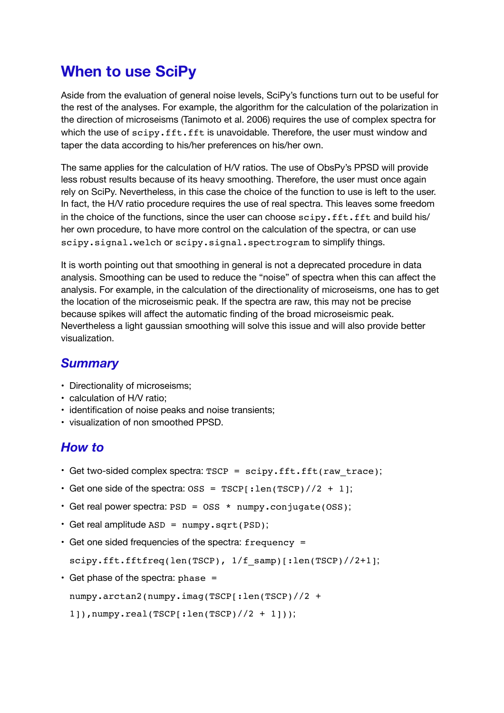### **When to use SciPy**

Aside from the evaluation of general noise levels, SciPy's functions turn out to be useful for the rest of the analyses. For example, the algorithm for the calculation of the polarization in the direction of microseisms (Tanimoto et al. 2006) requires the use of complex spectra for which the use of scipy.fft.fft is unavoidable. Therefore, the user must window and taper the data according to his/her preferences on his/her own.

The same applies for the calculation of H/V ratios. The use of ObsPy's PPSD will provide less robust results because of its heavy smoothing. Therefore, the user must once again rely on SciPy. Nevertheless, in this case the choice of the function to use is left to the user. In fact, the H/V ratio procedure requires the use of real spectra. This leaves some freedom in the choice of the functions, since the user can choose scipy.fft.fft and build his/ her own procedure, to have more control on the calculation of the spectra, or can use scipy.signal.welch or scipy.signal.spectrogram to simplify things.

It is worth pointing out that smoothing in general is not a deprecated procedure in data analysis. Smoothing can be used to reduce the "noise" of spectra when this can affect the analysis. For example, in the calculation of the directionality of microseisms, one has to get the location of the microseismic peak. If the spectra are raw, this may not be precise because spikes will affect the automatic finding of the broad microseismic peak. Nevertheless a light gaussian smoothing will solve this issue and will also provide better visualization. 

#### *Summary*

- Directionality of microseisms;
- calculation of H/V ratio;
- identification of noise peaks and noise transients;
- visualization of non smoothed PPSD.

#### *How to*

- Get two-sided complex spectra: TSCP = scipy.fft.fft(raw trace);
- Get one side of the spectra:  $0SS = TSCP$ [: len(TSCP)//2 + 1];
- Get real power spectra: PSD = OSS \* numpy.conjugate(OSS);
- Get real amplitude ASD = numpy.sqrt(PSD);
- Get one sided frequencies of the spectra: frequency =

scipy.fft.fftfreq(len(TSCP),  $1/f$  samp)[:len(TSCP)//2+1];

 $\cdot$  Get phase of the spectra: phase =

numpy.arctan2(numpy.imag(TSCP[:len(TSCP)//2 +

```
1]),numpy.real(TSCP[:len(TSCP)//2 + 1]));
```